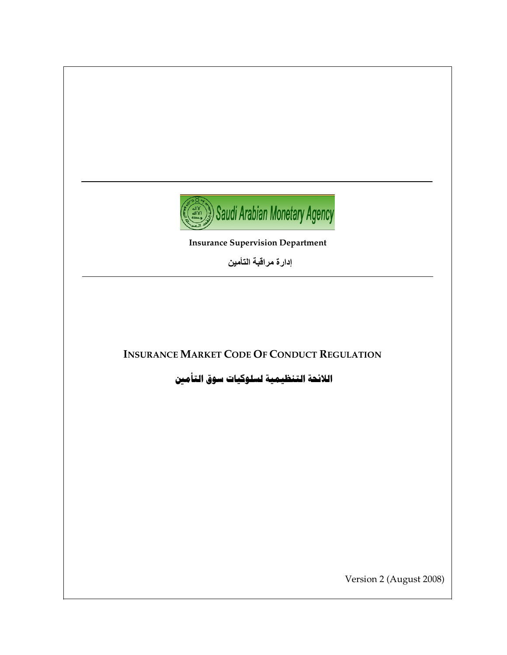

**Insurance Supervision Department**

إدارة مراقبة التأمين

# **INSURANCE MARKET CODE OF CONDUCT REGULATION**

اللائحة التنظيمية لسلوكيات سوق التأمين

Version 2 (August 2008)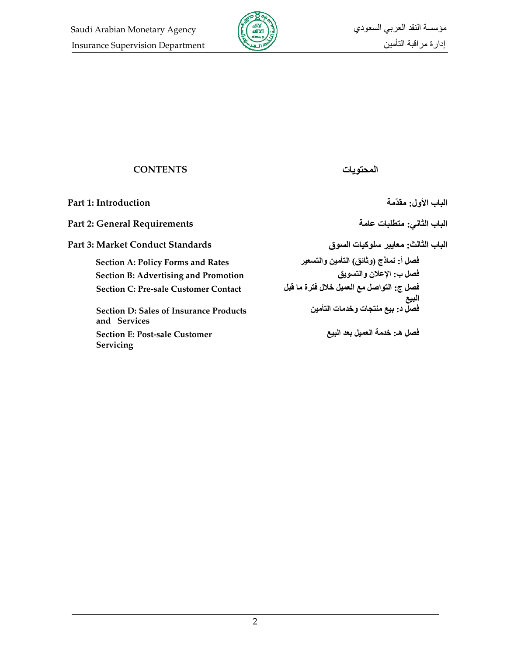

## **CONTENTS**

Part 1: Introduction

**Part 2: General Requirements** 

Part 3: Market Conduct Standards

**Section A: Policy Forms and Rates Section B: Advertising and Promotion Section C: Pre-sale Customer Contact** 

**Section D: Sales of Insurance Products** and Services **Section E: Post-sale Customer** Servicing

الباب الثاني: متطلبات عامة

الباب الأول: مقدّمة

الباب الثالث: معايير سلوكيات السوق فصل أ: نماذج (وثائق) التأمين والتسعير فصل ب: الإعلان والتسويق فصل ج: التواصل مع العميل خلال فترة ما قبل البيع فصلّ د: بيع منتجات وخدمات التأمين

المحتويات

فصل هـ: خدمة العميل بعد البيع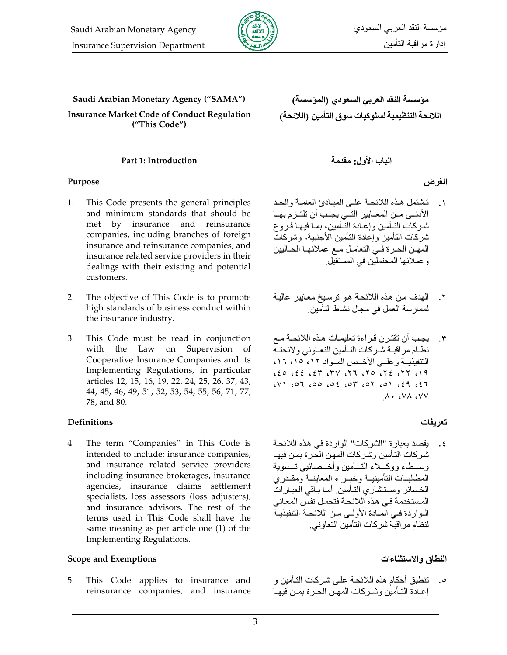

Saudi Arabian Monetary Agency ("SAMA")

**Insurance Market Code of Conduct Regulation** ("This Code")

#### Part 1: Introduction

#### Purpose

- This Code presents the general principles  $\mathbf{1}$ . and minimum standards that should be met by insurance and reinsurance companies, including branches of foreign insurance and reinsurance companies, and insurance related service providers in their dealings with their existing and potential customers.
- $2.$ The objective of This Code is to promote high standards of business conduct within the insurance industry.
- 3. This Code must be read in conjunction with the Law on Supervision of Cooperative Insurance Companies and its Implementing Regulations, in particular articles 12, 15, 16, 19, 22, 24, 25, 26, 37, 43, 44, 45, 46, 49, 51, 52, 53, 54, 55, 56, 71, 77, 78, and 80.

#### **Definitions**

 $\overline{4}$ . The term "Companies" in This Code is intended to include: insurance companies, and insurance related service providers including insurance brokerages, insurance agencies, insurance claims settlement specialists, loss assessors (loss adjusters), and insurance advisors. The rest of the terms used in This Code shall have the same meaning as per article one (1) of the **Implementing Regulations.** 

#### **Scope and Exemptions**

5. This Code applies to insurance and reinsurance companies, and insurance

# الباب الأول: مقدمة

## الغرض

- تشتمل هذه اللائحة على المبادئ العامة والحد الأدنــي مــن المعــابير التــي يجــب أن تلتــزم بهــا شركات التـأمين وإعـادة التـأمين، بمـا فيهـا فـروع شر كات التأمين و إعادة التأمين الأجنبية، وشر كات المهن الحرة في التعامل مع عملائها الحاليين و عملائها المحتملين في المستقبل
- الهدف من هذه اللائحة هو ترسيخ معايير عالية  $\cdot$   $\mathsf{r}$ لممارسة العمل في مجال نشاط التأمين
- يجب أن تقترن قراءة تعليمـات هـذه اللائحـة مـع  $\cdot$ ٣ نظام مراقبة شركات التأمين التعاوني ولائحته التنفيذيــة وعلــى الأخـص المــواد ١٢، ١٥، ١٦،  $19$  (17) 37) 07) 77 (77) 73) 33) 03)  $(13)$ ,  $(2)$ ,  $(0)$ ,  $(0)$ ,  $(0)$ ,  $(0)$ ,  $(0)$ ,  $(1)$ ,  $(1)$ ,  $(2)$  $A \cdot A \vee A \vee A$

# تعريفات

٤. يقصد بعبار ة "الشركات" الواردة في هذه اللائحة شر كات التأمين وشر كات المهن الحر ة بمن فيها وسسطاء ووكسلاء التسأمين وأخسصائيي تسسوية المطالبات التأمينيسة وخيبر اء المعابنسة ومقبدري الخسائر ومستشاري التأمين أما باقى العبارات المستخدمة في هذه اللائحة فتحمل نفس المعاني الــواردة فــي المــادة الأولــي مــن اللائحــة التنفيذيــة لنظام مر اقبة شر كات التأمين التعاو ني

### النطاق والاستثناءات

٥. تنطبق أحكام هذه اللائحـة علـى شـركات التـأمين و إعبادة التبأمين وشبر كات المهين الحبر ة بمين فيهيا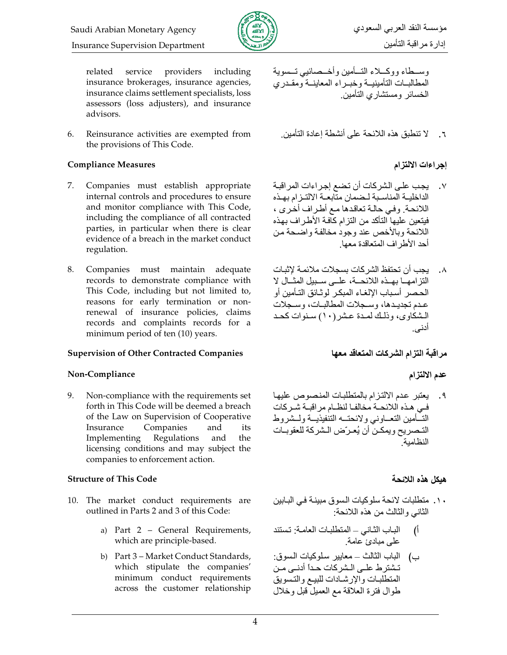

مؤسسة النقد العربي السعودي إدارة مراقبة التأمين

providers related service including insurance brokerages, insurance agencies, insurance claims settlement specialists, loss assessors (loss adjusters), and insurance advisors.

6. Reinsurance activities are exempted from the provisions of This Code.

## **Compliance Measures**

- 7. Companies must establish appropriate internal controls and procedures to ensure and monitor compliance with This Code, including the compliance of all contracted parties, in particular when there is clear evidence of a breach in the market conduct regulation.
- 8. Companies must maintain adequate records to demonstrate compliance with This Code, including but not limited to, reasons for early termination or nonrenewal of insurance policies, claims records and complaints records for a minimum period of ten (10) years.

# **Supervision of Other Contracted Companies**

# Non-Compliance

9. Non-compliance with the requirements set forth in This Code will be deemed a breach of the Law on Supervision of Cooperative Insurance Companies and its Regulations and Implementing the licensing conditions and may subject the companies to enforcement action.

# **Structure of This Code**

- 10. The market conduct requirements are outlined in Parts 2 and 3 of this Code:
	- a) Part 2 General Requirements, which are principle-based.
	- b) Part 3 Market Conduct Standards, which stipulate the companies' minimum conduct requirements across the customer relationship

وســطاء ووكـــلاء التـــأمين وأخــصائيبي تـــسوية المطالبات التأمينية وخبراء المعاينية ومقدرى الخسائر ومستشارى التأمين

لا تنطبق هذه اللائحة على أنشطة إعادة التأمين  $\mathbf{r}$ .

# إجراءات الالتزام

- يجب علـى الشركات أن تضع إجراءات المراقبـة الداخلية المناسبة لبضمان متابعية الالتيز ام بهيذه اللائحة وفي حالة تعاقدها مع أطراف أخرى ، فيتعين عليها التأكد من النز ام كاّفة الأطر اف بهذه اللائحة وبالأخص عند وجود مخالفة واضحة من أحد الأطر اف المتعاقدة معها
- يجب أن تحتفظ الشر كات بسجلات ملائمة لإثبات  $\cdot$   $\lambda$ النّز امهــا بهــذه اللائحـــة، علـــى ســبيل المثـــال لا الحصر أسباب الالغاء المبكر لوثـائق التـأمين أو عدم تجديدها، وسجلات المطالبات، وسجلات الشكاوي، و ذلك لمـدة عـشر (١٠) سـنوات كحـد أدنى.

# مر اقبة التز ام الشر كات المتعاقد معها

# عدم الالتزام

٩. يعتبر عدم الالتزام بالمتطلبات المنصوص عليها في هذه اللائحة مخالفا لنظام مر اقبــة شـر كات التسأمين التعساوني ولائحتسه التنفيذيسة ولسشروط التـصريح ويمكـن أن يُعـرّض الـشركة للعقوبـات النظامية

# هبكل هذه اللائحة

- . ١. منطلبات لائحة سلوكيات السوق مبينـة فـي البـابين الثانبي والثالث من هذه اللائحة:
- أ) الباب الثاني المنطلبات العامة: تستند على مبادئ عامة.
- ب) الباب الثالث معايير سلوكيات السوق: تشترط علـى الـشركات حـدأ أدنـى مـن المتطلبات والإرشادات للبيع والتسويق طوال فترة العلاقة مع العميل قبل وخلال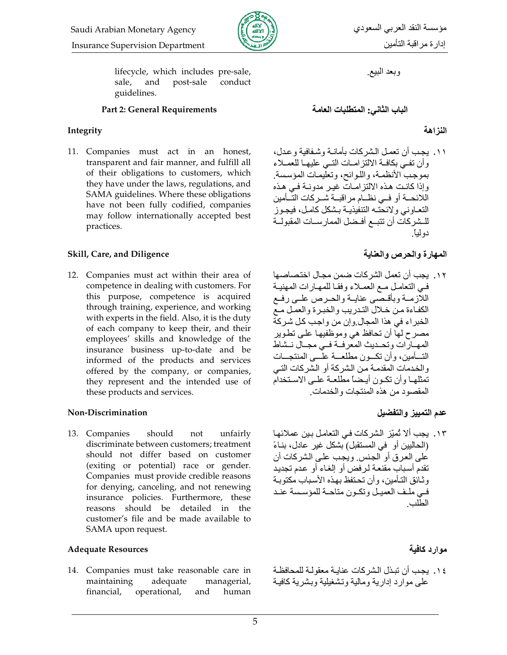

lifecycle, which includes pre-sale, and post-sale conduct sale, guidelines.

#### **Part 2: General Requirements**

### Integrity

11. Companies must act in an honest, transparent and fair manner, and fulfill all of their obligations to customers, which they have under the laws, regulations, and SAMA guidelines. Where these obligations have not been fully codified, companies may follow internationally accepted best practices.

### Skill, Care, and Diligence

12. Companies must act within their area of competence in dealing with customers. For this purpose, competence is acquired through training, experience, and working with experts in the field. Also, it is the duty of each company to keep their, and their employees' skills and knowledge of the insurance business up-to-date and be informed of the products and services offered by the company, or companies, they represent and the intended use of these products and services.

#### **Non-Discrimination**

13. Companies should unfairly not discriminate between customers; treatment should not differ based on customer (exiting or potential) race or gender. Companies must provide credible reasons for denying, canceling, and not renewing insurance policies. Furthermore, these reasons should be detailed in the customer's file and be made available to SAMA upon request.

#### **Adequate Resources**

14. Companies must take reasonable care in maintaining adequate managerial, financial, operational, and human وبعد البيع

الباب الثاني: المتطلبات العامة

الذز اهة

١١. يجب أن تعمل الشركات بأمانـة وشـفافية وعدل، وأن تفيى بكافية الالتزاميات التبي عليهما للعميلاء بموجب الأنظمة، واللوائح، وتعليمات المؤسسة وإذا كانت هذه الالتزامات غير مدونية في هذه اللائحــة أو فــي نظــام مراقبــة شــركات التــأمين النعاوني ولائحته التنفيذية بشكل كامل، فيجوز للـشركات أن تتبــع أفــضل الممار ســات المقبولــة دو لُباً

# المهارة والحرص والعناية

١٢. يجب أن تعمل الشركات ضمن مجال اختصاصها في التعامل مـع العمـلاء وفقـا للمهـارات المهنيـة اللازمية وبأقبصبي عنايية والحبرص عليى رفيع الكفاءة من خلال التدريب والخبرة والعمل مع الخبراء في هذا المجال وإن من واجب كل شركة مصرح لهاً أن تحافظ هي وموظفيها علـي تطـوير المهـارات وتحـديث المعرفـة فـي مجـال نـشاط التسأمين، وأن تكسون مطلعسة علسى المنتجسات والخدمات المقدمة من الشركة أو الشركات التي تمثلها وأن تكون أيضاً مطلعة علمي الاستخدام المقصود من هذه المنتجات و الخدمات

# عدم التمييز والتفضيل

١٣. يجب ألا تُميِّز الشركات في التعامل بين عملائها (الحاليين أو في المستقبل) بشكل غير عادل، بناءً عَلَى الْعرفي أو الْجنس ويُجب على الشركات أن تقدم أسباب مقنعة لرفض أو إلغاء أو عدم تجديد وثائق التأمين، وأن تحتفظ بهذه الأسباب مكتوبة فيي ملف العميل وتكون متاحة للمؤسسة عند الطلب

# موارد كافية

٤ ١. يجب أن تبذل الشر كات عنايـة معقو لـة للمحافظـة علىى موارد إدارية ومالية وتشغيلية وبشرية كافية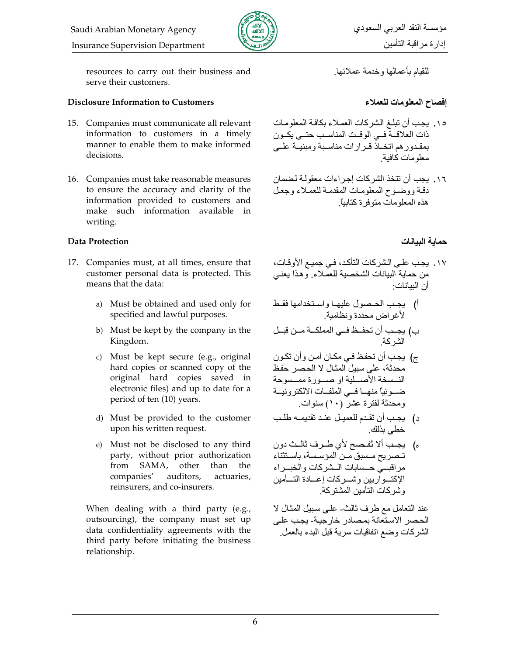



resources to carry out their business and serve their customers.

### **Disclosure Information to Customers**

- 15. Companies must communicate all relevant information to customers in a timely manner to enable them to make informed decisions.
- 16. Companies must take reasonable measures to ensure the accuracy and clarity of the information provided to customers and make such information available in writing.

### **Data Protection**

- 17. Companies must, at all times, ensure that customer personal data is protected. This means that the data:
	- a) Must be obtained and used only for specified and lawful purposes.
	- b) Must be kept by the company in the Kingdom.
	- c) Must be kept secure (e.g., original hard copies or scanned copy of the original hard copies saved in electronic files) and up to date for a period of ten (10) years.
	- d) Must be provided to the customer upon his written request.
	- e) Must not be disclosed to any third party, without prior authorization from SAMA, other than the companies' auditors, actuaries. reinsurers, and co-insurers.

When dealing with a third party (e.g., outsourcing), the company must set up data confidentiality agreements with the third party before initiating the business relationship.

للقيام بأعمالها وخدمة عملائها

# إفصاح المعلومات للعملاء

- ١٥. يجب أن تبلغ الشر كات العملاء بكافة المعلومات ذات العلاقــة فــي الوقــت المناسـب حتــي يكــون بمقـدو ر هم اتـخــاذٌ قــر ار ات مناسـبـة و مبنيــة علـــى معلو مات كافية
- ١٦. يجب أن تتخذ الشركات إجراءات معقولة لضمان دقة ووضىوح المعلومات المقدمة للعملاء وجعل هذه المعلو مات متو فر ۃ کتابیاً

## حماية البيانات

- ١٧. يجب علـى الـشركات التأكد، فـي جميـع الأوقـات، من حماية البيانات الشخصية للعملاء وهذا يعنى أن البيانات·
- أ) يجب الحصول عليها واستخدامها فقط لأغر اض محددة ونظامية
- ب) يجــب أن تحفــظ فــي المملكـــة مــن قبــل<br>الشر كة
- ج) يجب أن تحفظ في مكان آمن وأن تكون محدثة، على سبيل المثال لا الحصر حفظ النسخة الأصطية او صورة ممسوحة ضــوئياً منهــا فــي الملفــات الالكترونيــة ومحدثة لفترة عشر (١٠) سنوات
- د) يجب أن تقدم للعميل عند تقديمه طلب خطي بذلك
- ه) يجب ألا تُفصح لأي طرف ثالث دون تنصر بح مسبق من المؤسسة، باستثناء مراقبسي حسدابات المشركات والخبمراء الإكتسواريين وشسركات إعسادة التسأمين وشركات التأمين المشتركة.

عند التعامل مع طرف ثالث- على سبيل المثال لا الحصر الاستعانة بمصادر خارجية- يجب على الشركات وضع اتفاقيات سرية قبل البدء بالعمل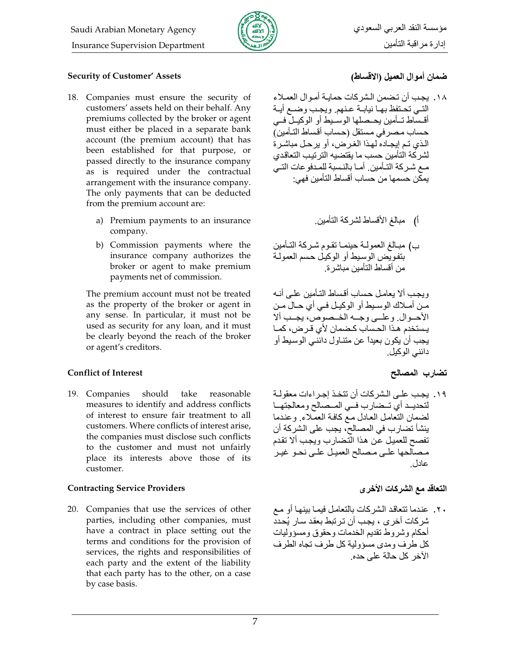

## **Security of Customer' Assets**

- 18. Companies must ensure the security of customers' assets held on their behalf. Any premiums collected by the broker or agent must either be placed in a separate bank account (the premium account) that has been established for that purpose, or passed directly to the insurance company as is required under the contractual arrangement with the insurance company. The only payments that can be deducted from the premium account are:
	- a) Premium payments to an insurance company.
	- b) Commission payments where the insurance company authorizes the broker or agent to make premium payments net of commission.

The premium account must not be treated as the property of the broker or agent in any sense. In particular, it must not be used as security for any loan, and it must be clearly beyond the reach of the broker or agent's creditors.

#### **Conflict of Interest**

19. Companies should take reasonable measures to identify and address conflicts of interest to ensure fair treatment to all customers. Where conflicts of interest arise. the companies must disclose such conflicts to the customer and must not unfairly place its interests above those of its customer.

#### **Contracting Service Providers**

20. Companies that use the services of other parties, including other companies, must have a contract in place setting out the terms and conditions for the provision of services, the rights and responsibilities of each party and the extent of the liability that each party has to the other, on a case by case basis.

# ضمان أموال العميل (الاقساط)

- ١٨. يجب أن تضمن الشر كات حمايـة أمـو ال العمـلاء التيي تحتفظ بها نيابية عنهم ويجب وضمع أيية أقساط تــأمين يحــصلها الوســيط أو الوكيــلّ فــي حساب مصرفي مستقل (حساب أقساط التأمين) الذي تم إيجـاده لهذا الغرض، أو يرحـل مباشـرة لشر كة التأمين حسب ما يقتضيه التر تيب التعاقدي مـع شـركة التـأمين ِ أمـا بالنـسبة للمـدفو عات التـيّ يمكن حسمها من حساب أقساط التأمين فهي:
	- أ) مبالغ الأقساط لشركة التأمين
- ب) مبـالـغ العمولــة حينمــا تقـوم شـركـة التـأمين بتفويض الوسيط أو الوكيل حسم العمولة من أقساط التأمين مباشر ة

ويجب ألا يعامل حساب أقساط التأمين علمي أنـه مـن أمــلاك الوسـيط أو الوكيـل فـي أي حــال مـن الأحسوال وعلسى وجسه الخسصوص، يجب ألا يستخدم هذا الحساب كـضمان لأي قـر ض، كمـا يجب أن يكون بعيداً عن متناول دائنيي الوسيط أو دائني الوكيل

### تضارب المصالح

١٩. بجب علـى الـشر كات أن تتخـذ إجـر اءات معقولـة لتحديـد أي تـضارب فـي المـصالح ومعالجتهـا لضمان التعامل العادل مع كافة العملاء وعندما ينشأ تضارب في المصالح، يجب على الشركة أن تفصح للعميل عن هذا التضارب ويجب ألا تقدم مصالحها على مصالح العميل علىي نحو غير عادل

### التعاقد مع الشركات الأخرى

٢٠. عندما نتعاقد الشركات بالتعامل فيمـا بينهـا أو مـع شر كات أخر ي ، يجب أن تر تبط بعقد سار بُحدد أحكام وشروط نقديم الخدمات وحقوق ومسؤوليات كل طرف ومدى مسؤولية كل طرف تجاه الطرف الآخر كل حالة على حده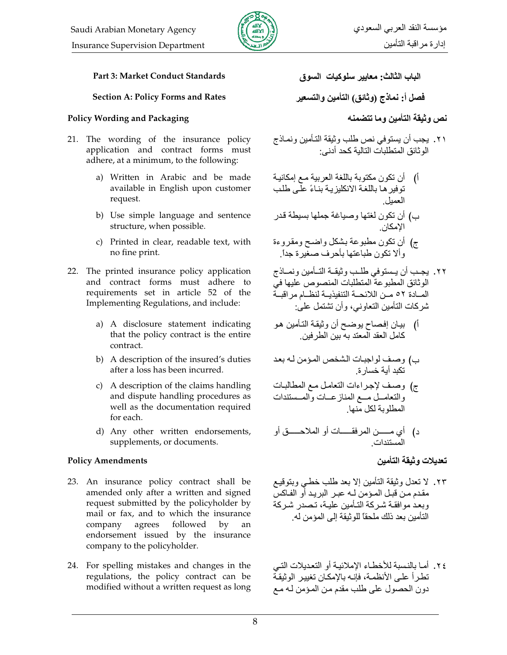

### Part 3: Market Conduct Standards

#### **Section A: Policy Forms and Rates**

### **Policy Wording and Packaging**

- 21. The wording of the insurance policy application and contract forms must adhere, at a minimum, to the following:
	- a) Written in Arabic and be made available in English upon customer request.
	- b) Use simple language and sentence structure, when possible.
	- c) Printed in clear, readable text, with no fine print.
- 22. The printed insurance policy application and contract forms must adhere to requirements set in article 52 of the Implementing Regulations, and include:
	- a) A disclosure statement indicating that the policy contract is the entire contract.
	- b) A description of the insured's duties after a loss has been incurred.
	- c) A description of the claims handling and dispute handling procedures as well as the documentation required for each.
	- d) Any other written endorsements, supplements, or documents.

### **Policy Amendments**

- 23. An insurance policy contract shall be amended only after a written and signed request submitted by the policyholder by mail or fax, and to which the insurance company agrees followed by an endorsement issued by the insurance company to the policyholder.
- 24. For spelling mistakes and changes in the regulations, the policy contract can be modified without a written request as long

الباب الثالث: معايير سلوكيات السوق

فصل أ: نماذج (وثائق) التأمين والتسعير

نص وثيقة التأمين وما تتضمنه

- ٢١. يجب أن يستوفي نص طلب وثيقة التـأمين ونمـاذج<br>الوثائق المتطلبات التالية كحد أدني:
- أ) أن تكون مكتوبة باللغة العربية مع إمكانية توفير ها باللغة الانكليزية بناءً علَّمي طلب
- ب) أن تكون لغتها وصياغة جملها بسيطة قدر الامكان
- ج) أن تكون مطبوعة بشكل واضح ومقروءة وألا تكون طباعتها بأحرف صغيرة جداً.
- ٢٢. يجـب أن يــستوفي طلــب وثيقــة التــأمين ونمــاذج<br>الوثائق المطبوعة المتطلبات المنصـوص عليها في المسادة ٥٢ مــن اللائحــة التنفيذيــة لنظــام مر اقبــة شر كات التأمين التعاو نبي، و أن تشتمل علي:
- أ) بيان إفصاح يوضح أن وثيقة التأمين هو كامل العقد المعتد به بين الطرفين ِ
- ب) وصف لواجبات الشخص المؤمن لـه بعد<br>تكبد أية خسار ة
- ج) وصف لإجراءات التعامل مع المطالبات والنعامـــل مـــع المناز عـــات والمــستندات<br>المطلوبة لكل منها
- د) أي مــــــن المرفقـــــــات أو الملاحــــــق أو المستندات

# تعديلات وثيقة التأمين

- ٢٣. لا تعدل وثيقة التأمين إلا بعد طلب خطبي وبتوقيع مقدم مـن قبـل المـؤمن لــه عبـر البريـد أو الفـآكس وبعد موافقة شركة التأمين علية، تصدر شركة التأمين بعد ذلك ملحقًا للو ثبقة الى المؤمن له
- ٢٤. أمـا بالنسبة للأخطـاء الإملائيـة أو التعديلات التـي تطر أ علـي الأنظمـة، فإنـه بالإمكـان تغيير الوثيقـة دون الحصول على طلب مقدم من المؤمن لـه مـع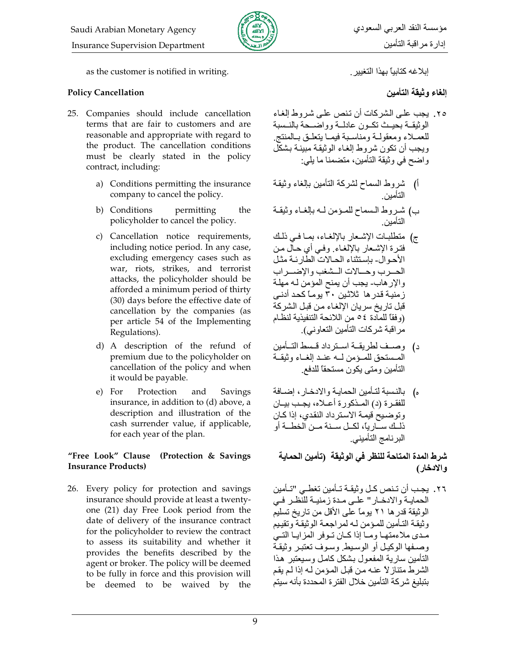

as the customer is notified in writing.

### **Policy Cancellation**

- 25. Companies should include cancellation terms that are fair to customers and are reasonable and appropriate with regard to the product. The cancellation conditions must be clearly stated in the policy contract, including:
	- a) Conditions permitting the insurance company to cancel the policy.
	- b) Conditions permitting the policyholder to cancel the policy.
	- c) Cancellation notice requirements, including notice period. In any case, excluding emergency cases such as war, riots, strikes, and terrorist attacks, the policyholder should be afforded a minimum period of thirty (30) days before the effective date of cancellation by the companies (as per article 54 of the Implementing Regulations).
	- d) A description of the refund of premium due to the policyholder on cancellation of the policy and when it would be payable.
	- e) For Protection and Savings insurance, in addition to (d) above, a description and illustration of the cash surrender value, if applicable, for each year of the plan.

#### "Free Look" Clause (Protection & Savings **Insurance Products)**

26. Every policy for protection and savings insurance should provide at least a twentyone (21) day Free Look period from the date of delivery of the insurance contract for the policyholder to review the contract to assess its suitability and whether it provides the benefits described by the agent or broker. The policy will be deemed to be fully in force and this provision will be deemed to be waived by the إبلاغه كتابيا بهذا التغيير

الغاء وثيقة التأمين

- ٢٥. بجب علي الشر كات أن تنص علي شر وط الغاء الوثيقــة بحيــث تكــون عادلــة و و اضـــحة بالنــسبة للعصلاء ومعقولية ومناسبة فيميا يتعلىق ببالمنتج ويجب أن تكون شروط إلغاء الوثيقة مبينة بشكل واضح في وثيقة التأمين، متضمنا ما يلي:
- أ) شروط السماح لشركة التأمين بالغاء وثيقة<br>التأمين
- ب) شـروط الـسماح للمـؤمن لــه بـإلغـاء وثيقـة<br>التأمين
- ج) منطلبات الإشعار بالإلغاء، بما في ذلك فنرة الإشعار بالإلغاء وفيي أي حال من الأحوال- بإستثناء الحالات الطار ئـة مثـل الحسرب وحسالات المشغب والإضمراب والإرهاب- يجب أن يمنح المؤمن له مهلة ز منبـهَ قدر ها ثلاثـبن ٣٠ بو مـّا كحد أدنـي قبل تاريخ سريان الإلغاء من قبل الشركة (وفقًا للمادة ٤٥ من اللائحة التنفيذية لنظـام مراقبة شركات التأمين التعاوني).
- د) وصيف لطريقية استرداد قسط التسأمين المستحق للمؤمن لمه عند إلغاء وثيقة التأمين ومتى يكون مستحقا للدفع
- ه) بالنسبة لتأمين الحماية والادخار ، إضافة للفقـر ة (د) المـذكور ة أعــلاه، بجـب ببــان وتوضيحُ قيمة الاسترداد النقدي، إذا كـان ذللك سارياً، لكل سنة من الخطة أو البر نامج التأميني.

# شرط المدة المتاحة للنظر في الوثيقة (تأمين الحماية والادخار)

٢٦. يجب أن تـنص كـل وثيقـة تـأمين تغطـي "تـأمين الحمايـة والادخـار " علـى مـدة زمنيـة للنظـر فـى الوثيقة قدر ها ٢١ يوماً على الأقل من تاريخ تسليم وثيقة التأمين للمؤمن لـه لمراجعة الوثيقة وتقييم مدى ملاءمتها وما إذا كان توفر المزايا التي و صـفها الوكيـل أو الوسـيط وسـوف تعتبـر وثيقـة التأمين سارية المفعول بشكل كامل وسيعتبر هذا الشرط متناز لأ عنـه مـن قبـل المـؤمن لـه إذا لـم يقم بتبليغ شركة التأمين خلال الفتر ة المحددة بأنه سيتم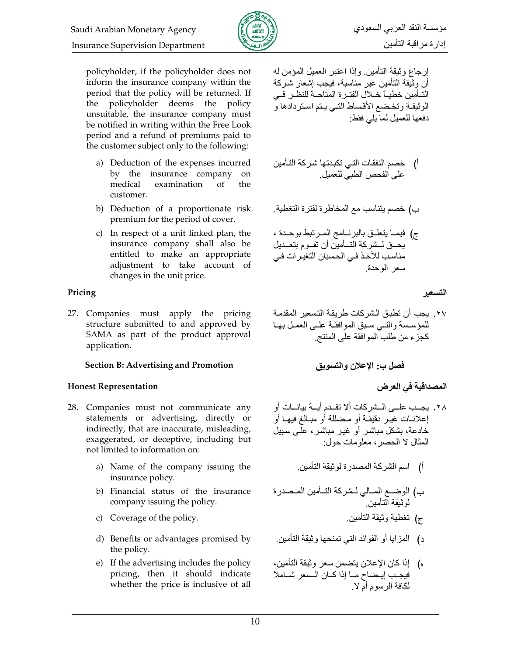

policyholder, if the policyholder does not inform the insurance company within the period that the policy will be returned. If the policyholder deems the policy unsuitable, the insurance company must be notified in writing within the Free Look period and a refund of premiums paid to the customer subject only to the following:

- a) Deduction of the expenses incurred by the insurance company on examination medical  $\alpha$ f the customer.
- b) Deduction of a proportionate risk premium for the period of cover.
- c) In respect of a unit linked plan, the insurance company shall also be entitled to make an appropriate adjustment to take account of changes in the unit price.

### Pricing

27. Companies must apply the pricing structure submitted to and approved by SAMA as part of the product approval application.

### **Section B: Advertising and Promotion**

### **Honest Representation**

- 28. Companies must not communicate any statements or advertising, directly or indirectly, that are inaccurate, misleading, exaggerated, or deceptive, including but not limited to information on:
	- a) Name of the company issuing the insurance policy.
	- b) Financial status of the insurance company issuing the policy.
	- c) Coverage of the policy.
	- d) Benefits or advantages promised by the policy.
	- e) If the advertising includes the policy pricing, then it should indicate whether the price is inclusive of all

إرجاع وثيقة التأمين وإذا اعتبر العميل المؤمن له أن وثَّيقة التأمين غير مناسبة، فيجب إشعار شركة التـأمين خطيـاً خـلال الفتـرة المتاحـة للنظـر فـي الوثيقـة وتخـضع الأقـساط التـي يـتم اسـتردادها و دفعها للعميل لما يلي فقط:

ج) فيمــا يتعلّــق بالبرنـــامج المــرتبط بوحــدة ، يحــق لــشركة التــأمين أن تقــوم بتعــديل مناسب للأخذ في الحسبان التغير ات في سعر الوحدة

### التسعير

٢٧. يجب أن تطبق الشر كات طريقة التسعير المقدمة للمؤسسة والتبى سبق الموافقة على العمل بها كجزء من طلب الموافقة على المنتج

- ج) تغطية وثيقة التأمين
- د) المزايا أو الفوائد التي تمنحها وثيقة التأمين.
- ه) إذا كان الإعلان يتضمن سعر وثيقة التأمين، فيجب إيضاح ما إذا كان السعر شاملا لكافة الرسوم أم لا .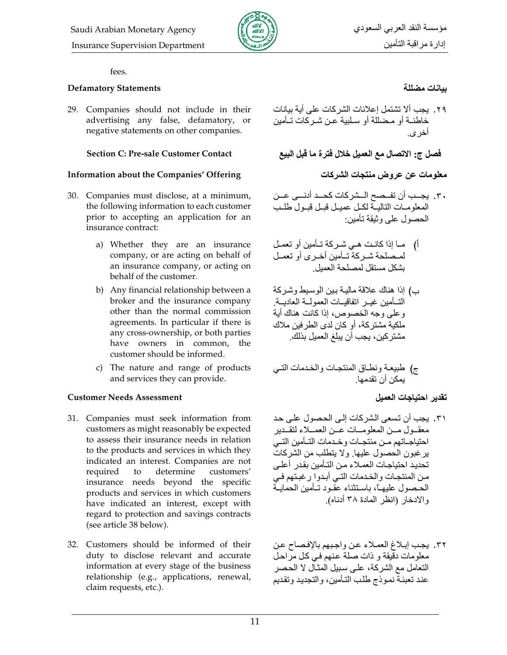

#### fees.

#### **Defamatory Statements**

29. Companies should not include in their advertising any false, defamatory, or negative statements on other companies.

#### **Section C: Pre-sale Customer Contact**

#### **Information about the Companies' Offering**

- 30. Companies must disclose, at a minimum, the following information to each customer prior to accepting an application for an insurance contract:
	- a) Whether they are an insurance company, or are acting on behalf of an insurance company, or acting on behalf of the customer.
	- b) Any financial relationship between a broker and the insurance company other than the normal commission agreements. In particular if there is any cross-ownership, or both parties have owners in common, the customer should be informed.
	- c) The nature and range of products and services they can provide.

#### **Customer Needs Assessment**

- 31. Companies must seek information from customers as might reasonably be expected to assess their insurance needs in relation to the products and services in which they indicated an interest. Companies are not required to determine customers' insurance needs beyond the specific products and services in which customers have indicated an interest, except with regard to protection and savings contracts (see article 38 below).
- 32. Customers should be informed of their duty to disclose relevant and accurate information at every stage of the business relationship (e.g., applications, renewal, claim requests, etc.).

## بيانات مضللة

٢٩. يجب ألا تشتمل إعلانات الشركات على أية بيانات خاطئــة أو مـضللة أو سـلببة عـن شـر كات تــأمبن آخر *ی*.

فصل ج: الاتصال مع العميل خلال فتر ة ما قبل البيع

معلومات عن عروض منتجات الشركات

- ٣٠. يجـب أن تفــصح الــشركات كحــد أدنــى عــن المعلومات التالية لكل عميل قبل قبول طلب الحصول على وثبقة تأمين:
- أ) ما إذا كانت هي شركة تـأمين أو تعمـل لمـصلحة شـركة تـأمين أخـري أو تعمـل بشكل مستقل لمصلحة العمبل
- ب) إذا هناك علاقة مالية بين الوسيط وشركة التسأمين غيبر انفاقيسات العمولسة العاديسة وعلى وجه الخصوص، إذا كانت هناك أية ملكية مشتركة، أو كان لدى الطرفين ملاك مشتركين، يجب أن يبلغ العميل بذلك ِ

تقدير احتياجات العميل

- ٣١. يجب أن تسعى الشركات إلى الحصول على حد معقبول مسن المعلومسات عسن العمسلاء لتقسدبر احتياجـاتهم مـن منتجـات و خـدمات التــأمين التــى يرغبون الحصول عليها ولا يتطلب من الشركات تحديد احتياجات العملاء من التأمين بقدر أعلى من المنتجات والخدمات التي أبدوا ر غبتهم في الحبصول علبهيأ، باستثناء عقود تبأمين الحمابية والإدخار (انظر المادة ٣٨ أدناه)
- ٣٢. يجب إبلاغ العملاء عن واجبهم بالإفصاح عن معلومات دقيقة و ذات صلة عنهم في كل مراحل النعامل مع الشركة، على سبيل المثال لا الحصر عند تعبئة نموذج طلب التأمين، والتجديد وتقديم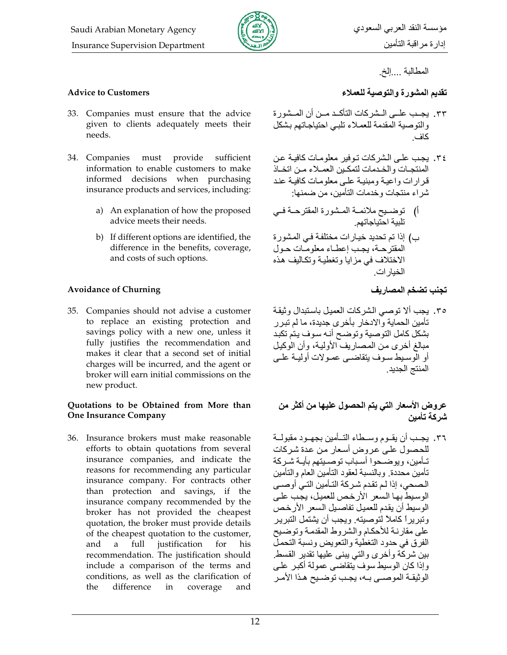

المطالبة ....إلخ.

#### **Advice to Customers**

- 33. Companies must ensure that the advice given to clients adequately meets their needs.
- 34. Companies must provide sufficient information to enable customers to make informed decisions when purchasing insurance products and services, including:
	- a) An explanation of how the proposed advice meets their needs.
	- b) If different options are identified, the difference in the benefits, coverage, and costs of such options.

#### **Avoidance of Churning**

35. Companies should not advise a customer to replace an existing protection and savings policy with a new one, unless it fully justifies the recommendation and makes it clear that a second set of initial charges will be incurred, and the agent or broker will earn initial commissions on the new product.

#### Quotations to be Obtained from More than **One Insurance Company**

36. Insurance brokers must make reasonable efforts to obtain quotations from several insurance companies, and indicate the reasons for recommending any particular insurance company. For contracts other than protection and savings, if the insurance company recommended by the broker has not provided the cheapest quotation, the broker must provide details of the cheapest quotation to the customer, justification for and a full his recommendation. The justification should include a comparison of the terms and conditions, as well as the clarification of difference in coverage the and تقديم المشورة والتوصية للعملاء

- ٣٣. يجب عليي البشر كات التأكيد مين أن الميشور ة والتوصية المقدمة للعملاء تلبى احتياجاتهم بشكل كاف
- ٣٤. يجب على الشركات توفير معلومات كافية عن المنتجبات والخبدمات لتمكين العميلاء مين اتخياذ قر ار ات و اعيــة و مبنيــة علــى معلو مــات كـافيــة عنـد شراء منتجات وخدمات التأمين، من ضمنها:
- أ) توضـيح ملائمــة المـشورة المقترحــة فــي تلبية احتياجاتهم
- ب) إذا تم تحديد خيارات مختلفة في المشور ة المقترحة، يجب إعطـاء معلومـات حـول الاختلاف في مز ايا وتغطية وتكاليف هذه الخيارات

تجنب تضخم المصاريف

٣٥. يجب ألا توصى الشركات العميل باستبدال وثيقة تأمين الحماية والادخار بأخرى جديدة، ما لم تبرر بشكل كامل التوصية وتوضح أنه سوف يتم تكبد مبالغ أخرى من المصاريف الأولية، وأن الوكيل أو الوسيط سوف يتقاضمي عمولات أوليــة علــي المنتج الجديد

عروض الأسعار التي يتم الحصول عليها من أكثر من شر كة تأمين

٣٦. يجـب أن يقـوم وسـطاء التـأمين بجهـو د مقبو لــة للحصول على عروض أسعار من عدة شركات تـأمين، ويو ضـحو ا أسـباب تو صـبتهم بأيــة شـر كـة تأمين محددة وبالنسبة لعقود التأمين العام والتأمين الصحي، إذا لم تقدم شركة التـأمين التـي أوصـي الوسيط بها السعر الأر خص للعميل، يجب على الوسيط أن يقدم للعميل تفاصيل السعر الأرخص وتبريراً كاملاً لتوصيته. ويجب أن يشتمل التبرير على مقارنية للأحكام والشروط المقدمة وتوضيح الفر ق في حدود التغطية والتعويض ونسبة التحملُ بين شركة وأخرى والتي يبنى عليها تقدير القسط وإذا كان الوسيط سوف يتقاضى عمولة أكبر على الوثيقـة الموصــي بــه، يجـب توضــيح هـذا الأمـر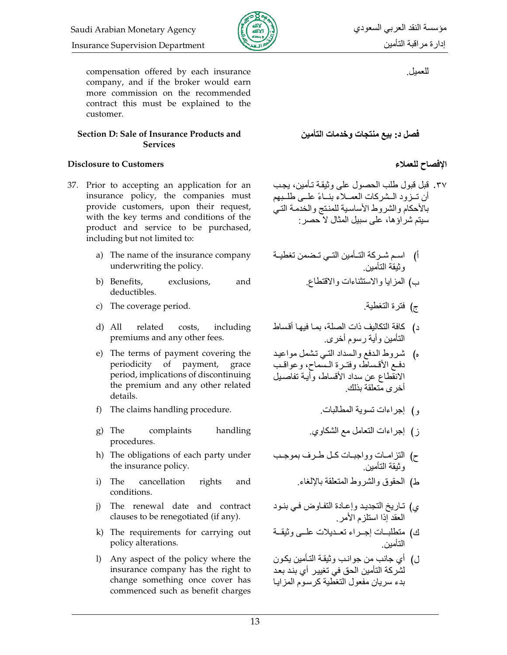compensation offered by each insurance company, and if the broker would earn more commission on the recommended contract this must be explained to the customer.

#### Section D: Sale of Insurance Products and **Services**

## **Disclosure to Customers**

- 37. Prior to accepting an application for an insurance policy, the companies must provide customers, upon their request, with the key terms and conditions of the product and service to be purchased, including but not limited to:
	- a) The name of the insurance company underwriting the policy.
	- b) Benefits, exclusions, and deductibles.
	- c) The coverage period.
	- $d)$  All related costs, including premiums and any other fees.
	- e) The terms of payment covering the periodicity of payment, grace period, implications of discontinuing the premium and any other related details.
	- f) The claims handling procedure.
	- g) The complaints handling procedures.
	- h) The obligations of each party under the insurance policy.
	- i) The cancellation rights and conditions.
	- i) The renewal date and contract clauses to be renegotiated (if any).
	- k) The requirements for carrying out policy alterations.
	- 1) Any aspect of the policy where the insurance company has the right to change something once cover has commenced such as benefit charges

للعميل ِ

فصل د: بيع منتجات وخدمات التأمين

# الإفصاح للعملاء

٣٧. قبل قبول طلب الحصول على وثيقة تـأمين، يجب أن تبزود البشركات العميلاء بنساءً عليي طلبيهم بالأحكام والشروط الأساسية للمنتج والخدمة التي سبتم شر او ها، على سبيل المثال لا حصر -

- أ) اسم شـركة التــأمين التــي تـضمن تغطيــة<br>وثيقة التأمين
	- ب) المزايا والاستثناءات والاقتطاع
		- ج) فَتَرَةَ التَّغْطَيَةِ.
- د) كافة التكاليف ذات الصلة، بمـا فيهـا أقساط التأمين و أيـة ر سو م أخر ي<sub>.</sub>
- ه) شروط الدفع والسداد التبي نشمل مواعيد دفع الأقساط، وفترة المسماح، وعواقب الانقطاع عن سداد الأقساط، وأيـة تفاصـيل أخرى متعلقة يذلك
	- و) إجراءات تسوية المطالبات
	- ز) إجراءات النعامل مع الشكاوي
- ح) الننزامــات وواجبــات كــل طــرف بموجــب<br>وثيقة التأمين
	- ط) الحقوق والشروط المتعلقة بالإلغاء
- ي) تـاريخ التجديد وإعـادة التفـاوض فـي بنـود<br>العقد إذا استلزم الأمر
- ك) متطلبــات إجــراء تعــديلات علــى وثيقــة<br>التأمين
- ل) أي جانب من جوانب وثيقة التأمين يكون لشركة التأمين الحق في تغيير أي بند بعد بدء سريان مفعول التغطية كرسوم المزايا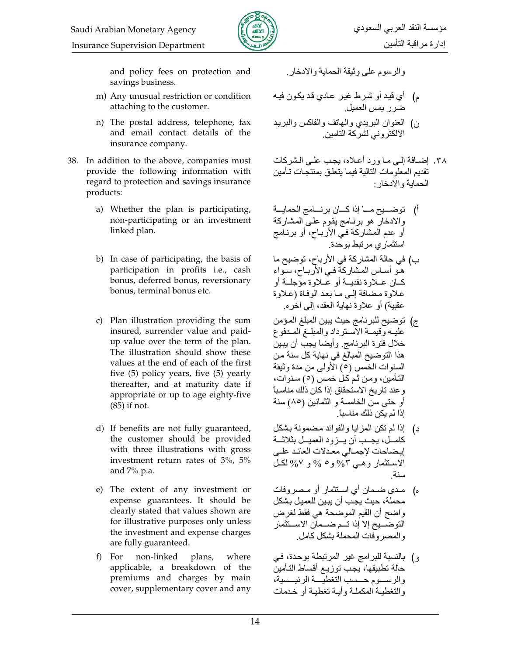

and policy fees on protection and savings business.

- m) Any unusual restriction or condition attaching to the customer.
- n) The postal address, telephone, fax and email contact details of the insurance company.
- 38. In addition to the above, companies must provide the following information with regard to protection and savings insurance products:
	- a) Whether the plan is participating, non-participating or an investment linked plan.
	- b) In case of participating, the basis of participation in profits i.e., cash bonus, deferred bonus, reversionary bonus, terminal bonus etc.
	- c) Plan illustration providing the sum insured, surrender value and paidup value over the term of the plan. The illustration should show these values at the end of each of the first five  $(5)$  policy years, five  $(5)$  yearly thereafter, and at maturity date if appropriate or up to age eighty-five (85) if not.
	- d) If benefits are not fully guaranteed, the customer should be provided with three illustrations with gross investment return rates of 3%, 5% and  $7\%$  p.a.
	- e) The extent of any investment or expense guarantees. It should be clearly stated that values shown are for illustrative purposes only unless the investment and expense charges are fully guaranteed.
	- f) For non-linked plans, where applicable, a breakdown of the premiums and charges by main cover, supplementary cover and any

والرسوم علىيوثيقة الحماية والادخار

- م) أي قيد أو شرط غير عادي قد يكون فيه ضرر يمس العميل
- ن) العنوان البريدي والمهاتف والفاكس والبريد الالكتروني لشركة التامين
- ٣٨. إضبافة إلى ما ورد أعلاه، يجب على الشركات تقديم المعلومات التالية فيما يتعلق بمنتجات تأمين الحماية والادخار :
- أ) توضــــبح مــــا إذا كــــان برنــــامج الـحمايـــة والادخار هو برنامج يقوم علىي المشاركة أو عدم المشاركة في الأرباح، أو برنامج استثماري مرتبط بوحدة
- ب) في حالة المشاركة في الأرباح، توضيح ما هـو أســاس المـشاركة فـي الأربــاح، سـواء كسان عسلاوة نقديسة أو عسلاوة مؤجلسة أو علاوة مضافة إلى ما بعد الوفاة (علاوة عقبية) أو علاوة نهاية العقد، إلى آخر ه
- ج) توضيح للبرنامج حيث يبين المبلغ المؤمن عليـه وّقيمـة الأسـترداد والمبلـغ المـدفوع خلال فترة البرنامج وأيضا يجب أن يبين هذا التوضيح المبالغ في نهاية كل سنة من السنوات الخمس (٥) الأولى من مدة وثيقة التأمين، ومن ثم كل خمس (٥) سنوات، وعند تاريخ الاستحقاق إذا كان ذلك مناسباً أو حتى سنِّ الخامسة و الثمانين (٨٥) سنة إذا لم يكن ذلك مناسباً ِ
- د) إذا لم تكن المزايا والفوائد مضمونة بشكل كامــل، يجــب أن يــزود العميــل بثلاثـــة إبضاحات لإجمالي معدلات العائد علمي الاستثمار وهـي 0% و٥ % و ٧% لكـل سنة
- مدى ضـمان أي اسـتثمار أو مـصروفات  $\sqrt{2}$ محملة، حيث يجب أن يبين للعميل بشكل واضح أن القيم الموضحة هي فقط لغرض التوضــــيح إلا إذا تـــم ضــــمان الاســـتثمار والمصر وفات المحملة بشكل كامل
- و) بالنسبة للبرامج غير المرتبطة بوحدة، في حالة تطبيقها، يجب توزيع أقساط التأمين والرسسوم حسسب التغطيسة الرئيسسية، والتغطيبة المكملية وأيبة تغطيبة أو خدمات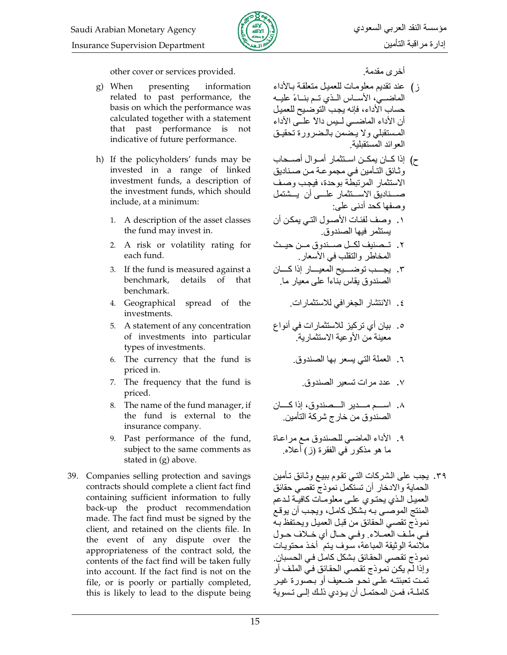

other cover or services provided.

- g) When presenting information related to past performance, the basis on which the performance was calculated together with a statement that past performance is not indicative of future performance.
- h) If the policyholders' funds may be invested in a range of linked investment funds, a description of the investment funds, which should include, at a minimum:
	- 1. A description of the asset classes the fund may invest in.
	- 2. A risk or volatility rating for each fund.
	- 3. If the fund is measured against a benchmark. details of that benchmark.
	- 4. Geographical spread of the investments.
	- 5. A statement of any concentration of investments into particular types of investments.
	- 6. The currency that the fund is priced in.
	- 7. The frequency that the fund is priced.
	- 8. The name of the fund manager, if the fund is external to the insurance company.
	- 9. Past performance of the fund, subject to the same comments as stated in  $(g)$  above.
- 39. Companies selling protection and savings contracts should complete a client fact find containing sufficient information to fully back-up the product recommendation made. The fact find must be signed by the client, and retained on the clients file. In the event of any dispute over the appropriateness of the contract sold, the contents of the fact find will be taken fully into account. If the fact find is not on the file, or is poorly or partially completed, this is likely to lead to the dispute being

أخر ي مقدمة

- ز) عند تقديم معلومات للعميل متعلقة بالأداء الماضيى، الأساس اللذي تسم بنساءً عليــه حساب الأداء، فإنه يجب التوضيح للعميل أن الأداء الماضـــى لـــبس دالاً علـــى الأداء المستقبلي ولا يحسمن بالمضرورة تحقيق العوائد المستقبلبة
- ح) إذا كــان يمكــن اســتثمار أمــوال أصـــحاب وثـائق التـأمين فـي مجموعــة مـن صـنـاديق الاستثمار المرتبطة بوحدة، فيجب وصف صـــناديق الاســـنثمار علــــى أن يـــشتمل وصفها كحد أدنى على:
- ١. وصف لفئات الأصول التي بمكن أن يستثمر فيها الصندوق.
- ٢. تـصنيف لكــل صــندوق مــن حيــث المخاطر والنقلب في الأسعار ِ
- ٣. يجمد توضميح المعيمار إذا كسان الصندوق بقاس بناءاً على معيار ما.
	- ٤. الانتشار الجغرافي للاستثمارات.
- ه. بيان أي تركيز للاستثمارات في أنواع ...<br>معينة من الأوعية الاستثمار بـة
	- ٦. العملة التي يسعر بها الصندوق.
		- ٧. عدد مرات تسعير الصندوق
- ٨. اسم مسدير السصندوق، إذا كسان الصندوق من خارج شركة التأمين
- ٩. الأداء الماضى للصندوق مع مراعاة ما هو مذكور في الفقرة (ز) أعلاه.
- ٣٩. يجب على الشركات التي تقوم ببيع وثـائق تـأمين الحماية والادخار أن تستكمل نموذج تقصبي حقائق العميل الذي يحتوى علمي معلومات كافية لدعم المنتج الموصّى بـه بشكل كامل، ويجب أن يوقع نموذج تقصىي الحقائق من قبل العميل ويحتفظ بـه في ملَّف العمـلاءِ. وفي حـال أي خـلاف حـول ملاَّئمة الوثيقة المباعة، سوف يتم ۖ أخذ محتويات نموذج تقصـى الحقـائق بشكل كامـل فـى الحسبان ِ وإذا لم يكن نموذج تقصبي الحقائق في الملف أو تمت تعبئتـه علـى نحـو ضـعيف أو بـصورة غيـر كاملــة، فمــن المحتمـل أن يــؤدي ذلـك إلــي تــسو يـة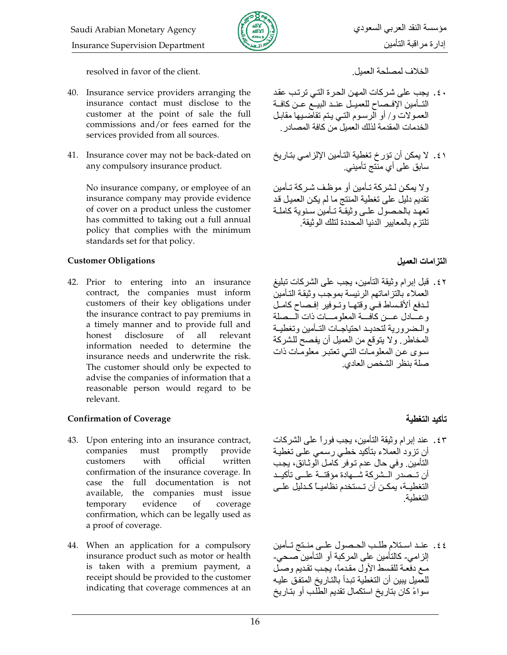

resolved in favor of the client.

- 40. Insurance service providers arranging the insurance contact must disclose to the customer at the point of sale the full commissions and/or fees earned for the services provided from all sources.
- 41. Insurance cover may not be back-dated on any compulsory insurance product.

No insurance company, or employee of an insurance company may provide evidence of cover on a product unless the customer has committed to taking out a full annual policy that complies with the minimum standards set for that policy.

### **Customer Obligations**

42. Prior to entering into an insurance contract, the companies must inform customers of their key obligations under the insurance contract to pay premiums in a timely manner and to provide full and disclosure  $\sigma$  $a<sup>11</sup>$ honest relevant information needed to determine the insurance needs and underwrite the risk. The customer should only be expected to advise the companies of information that a reasonable person would regard to be relevant.

### **Confirmation of Coverage**

- 43. Upon entering into an insurance contract, must promptly companies provide official customers with written confirmation of the insurance coverage. In case the full documentation is not available, the companies must issue evidence of temporary coverage confirmation, which can be legally used as a proof of coverage.
- 44. When an application for a compulsory insurance product such as motor or health is taken with a premium payment, a receipt should be provided to the customer indicating that coverage commences at an

الخلاف لمصلحة العمبل

- ٤٠. يجب على شركات المهن الحرة التي ترتب عقد التــأمين الإفــصـاح للعميــل عنــد البيــع عــن كافــة العمـولات و/ أو الرسـوم النـّي يـتم تقاضـيها مقابـل الخدمات المقدمة لذلك العميل من كافة المصادر
- ٤١. لا يمكن أن تؤرخ تغطية التأمين الإلزامي بتاريخ سابق علمی أی منتج تأمینی ِ

ولا يمكن لشركة تـأمين أو موظف شركة تـأمين تقديم دليل على تغطية المنتج ما لم يكن العميل قد تعهد بالحصول عليى وثبقة تـأمين سنوبة كاملـة تلتز م بالمعابير الدنبا المحددة لتلك الو ثبقة

# النز امات العميل

٤٢. قبل إبرام وثيقة التأمين، يجب على الشركات تبليغ العملاء بالنز اماتهم الرئيسة بموجب وثيقة التأمين لمدفع ألأقساط فمي وقتهما وتموفير إفصاح كامل وعسادل عسن كآفسة المعلومسات ذات السصلة والبضر ورية لتحديب احتياجيات التبأمين وتغطيبة المخاطر ٍ ولا يتوقع من العميل أن يفصح للشركة سوى عن المعلومات التبي تعتبر معلومات ذات صلة بنظر الشخص العادي.

# تأكيد التغطية

- ٤٣. عند إبرام وثيقة التأمين، يجب فوراً على الشركات أن تزود العملاء بتأكيد خطبي رسمي علمي تغطية النامين وفي حال عدم نوفر كامل الوثائق، يجب أن تــصدر الــشر كة شـــهادة مؤقتــة علـــى تأكيــد التّغطيــة، يمكـن أن تـستخدم نظاميــاً كـدليل علــى التغطية
- ٤٤. عند استلام طلب الحـصول علـى منـتج تـأمين إلزامي- كالتأمين على المركبة أو التأمين صحي-مع دفعة للقسط الأول مقدماً، يجب تقديم وصل للعميل يبين أن التغطية تبدأ بالتاريخ المتفق عليه سواءً كان بِتار بِخ استكمال تقديم الطلب أو بِتار بِخ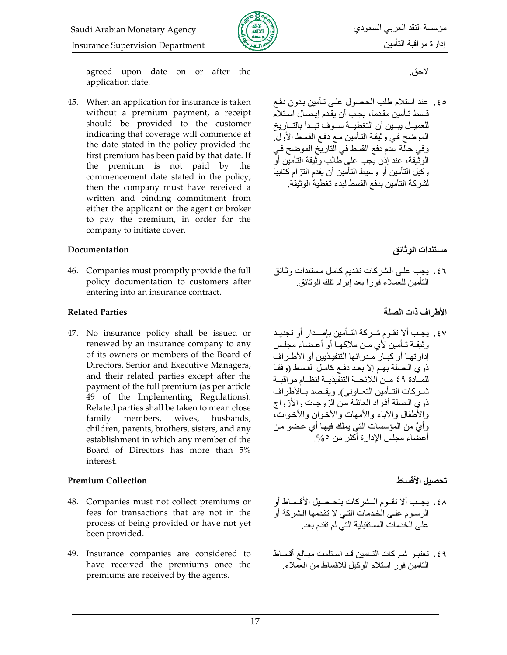

**Insurance Supervision Department** 

agreed upon date on or after the application date.

45. When an application for insurance is taken without a premium payment, a receipt should be provided to the customer indicating that coverage will commence at the date stated in the policy provided the first premium has been paid by that date. If the premium is not paid by the commencement date stated in the policy, then the company must have received a written and binding commitment from either the applicant or the agent or broker to pay the premium, in order for the company to initiate cover.

#### Documentation

46. Companies must promptly provide the full policy documentation to customers after entering into an insurance contract.

### **Related Parties**

47. No insurance policy shall be issued or renewed by an insurance company to any of its owners or members of the Board of Directors, Senior and Executive Managers, and their related parties except after the payment of the full premium (as per article 49 of the Implementing Regulations). Related parties shall be taken to mean close family members, wives, husbands, children, parents, brothers, sisters, and any establishment in which any member of the Board of Directors has more than 5% interest.

### **Premium Collection**

- 48. Companies must not collect premiums or fees for transactions that are not in the process of being provided or have not yet been provided.
- 49. Insurance companies are considered to have received the premiums once the premiums are received by the agents.

لاحق.

٥٤. عند استلام طلب الحصول على تـأمين بـدون دفـع قسط تـأمين مقدمـًا، يجب أن يقدم إيـصـال اسـتلام للعميـل يبــين أن التغطيــة ســوف تبــدأ بالتــاريخ الموضح في وثيقة التأمين مع دفع القسط الأولِّ. وفي حالَّة عُدم دفع القسط في النَّاريَّخ الموضح في الوثيقة، عند إذن يَجب على طالب وَّثيقة النامين أوّ وكيل التأمين أو وسيط التأمين أن يقدم النز ام كتابياً لشركة التأمين بدفع القسط لبدء تغطية الو ثبقة

مستندات الو ثائق

٤٦. يجب على الشركات نقديم كامل مستندات وثائق التأمين للعملاء فور أ بعد إبر ام تلك الو ثائق.

الأطراف ذات الصلة

٤٧. بجب ألا تقـوم شـر كة التـأمين بإصـدار أو تجديـد وثيقية تبأمين لأي مين ملاكهيا أو أعضاء مجلس إدار تهـا أو كبــار مـدر ائـها التنفيـذيين أو الأطـر اف ذوي الصلة بهم إلا بعد دفع كامل القسط (وفقـًا للمــادة ٤٩ مــن اللائحــة التنفّيذيــة لنظــام مراقبــة شـركات التــأمين التعــاوني). ويقـصد بــالأطراف ذوي المصلة أفراد العائلة من الزوجات والأزواج والأطفال والأباء والأمهات والأخوان والأخوات، وأيٌّ من المؤسسات التي يملك فيهـا أي عضو مـن أعضاء مجلس الإدار ة أكثر ٍ من 0%.

# تحصبل الأقساط

- ٤٨. يجب ألا تقــوم الــشركات بتحــصيل الأقــساط أو الرسوم على الخدمات التي لا تقدمها الشركة أو على الخدمات المستقبلية التي لم تقدم بعد
- ٤٩. تعتبر شركات التـامين قد استلمت مبـالغ أقـساط التامين فور استلام الوكيل للاقساط من العملاء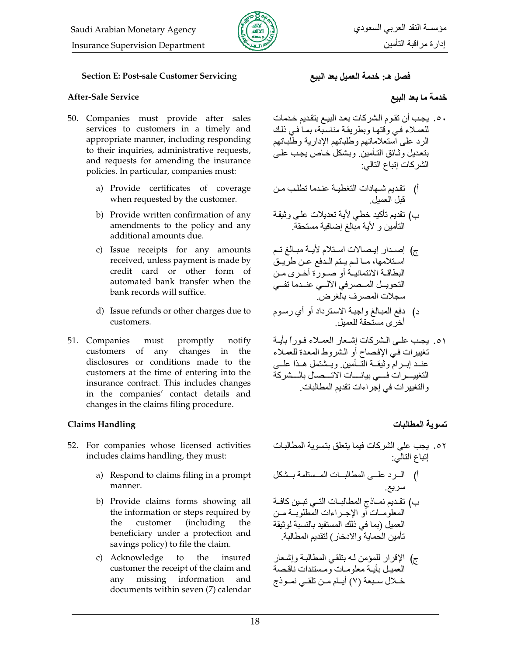

#### **Section E: Post-sale Customer Servicing**

### After-Sale Service

- 50. Companies must provide after sales services to customers in a timely and appropriate manner, including responding to their inquiries, administrative requests, and requests for amending the insurance policies. In particular, companies must:
	- a) Provide certificates of coverage when requested by the customer.
	- b) Provide written confirmation of any amendments to the policy and any additional amounts due.
	- c) Issue receipts for any amounts received, unless payment is made by credit card or other form of automated bank transfer when the bank records will suffice.
	- d) Issue refunds or other charges due to customers.
- 51. Companies must promptly notify customers of any changes in the disclosures or conditions made to the customers at the time of entering into the insurance contract. This includes changes in the companies' contact details and changes in the claims filing procedure.

#### **Claims Handling**

- 52. For companies whose licensed activities includes claims handling, they must:
	- a) Respond to claims filing in a prompt manner.
	- b) Provide claims forms showing all the information or steps required by customer (including) the the beneficiary under a protection and savings policy) to file the claim.
	- c) Acknowledge to the insured customer the receipt of the claim and any missing information and documents within seven (7) calendar

## فَصل هـ: خَدمة العميل بعد البيع

### خدمة ما بعد البيع

- ٥٠. يجب أن تقوم الشركات بعد البيـع بتقديم خدمات للعملاء فيي وقتها وبطريقة مناسبة، بما في ذلك الرد على استعلاماتهم وطلباتهم الإدارية وطلباتهم بتعديل وثائق التأمين وبشكل خاص يجب علمي الشر كات إتباع التالي:
- أ) تقديم شـهادات التغطيــة عنـدما تطلـب مـن<br>قبل العميل
- ب) تقديم تأكيد خطي لأية تعديلات علىي وثيقة التأمين و لأية مبالغ إضافية مستحقة
- ج) إصدار إيصالات استلام لأيـة مبـالغ تـم استلامها، مـالمم يتم الدفع عـن طريق البطاقــة الائتمانيــة أو صــورة أخـرى مـن التحويــل المــصرفيّ الألــيّ عنــدما تفــي سجلات المصر ف بالغر ض ِّ
- د) دفع المبالغ واجبـة الاسترداد أو أي رسوم<br>أخرى مستحقة للعميل
- ٥١. يجب علىي الشركات إشعار العملاء فوراً بأية تغييرات في الإفصاح أو الشروط المعدة للعملاء مس<br>عنــد إبــرام وثبُقــة التـــأمين ويــشتمل هــذا علـــي التغييـــرات فسى بيانــــات الاتـــصال بالـــشركة و التغيير ات في إجر اءات تقديم المطالبات

# تسه بة المطالبات

- ٥٢. يجب على الشركات فيما يتعلق بتسوية المطالبات إتباع التالي:
- أ) السرد علمى المطالبات المستلمة بستكل سريع.
- ب) تقديم نمــاذج المطـالبــات النــي تبــين كـافــة المعلومات أو الإجـراءات المطلوبــة مــن العميل (بما في ذلك المستفيد بالنسبة لوثيقة تأمين الحماية والادخار) لتقديم المطالبة
- ج) الإقرار للمؤمن لـه بتلقي المطالبـة وإشـعار العميل بأيبة معلوميات ومستندات ناقصة خـلال سـبعة (٧) أيـام مـن تلقـى نمـوذج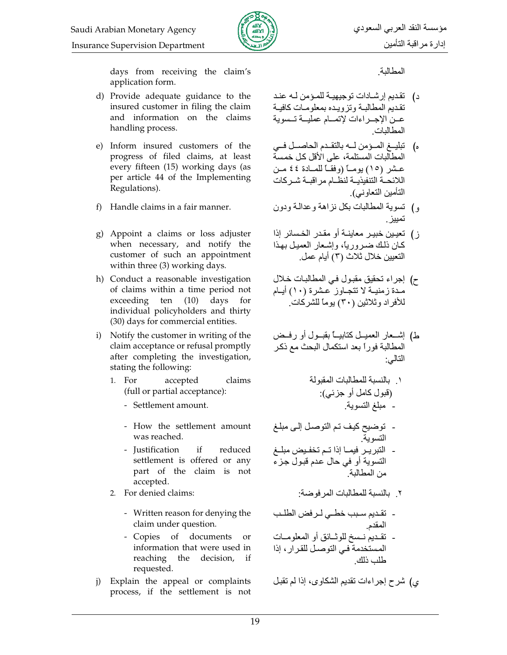

days from receiving the claim's application form.

- d) Provide adequate guidance to the insured customer in filing the claim and information on the claims handling process.
- e) Inform insured customers of the progress of filed claims, at least every fifteen (15) working days (as per article 44 of the Implementing Regulations).
- f) Handle claims in a fair manner.
- g) Appoint a claims or loss adjuster when necessary, and notify the customer of such an appointment within three (3) working days.
- h) Conduct a reasonable investigation of claims within a time period not exceeding ten (10) days for individual policyholders and thirty (30) days for commercial entities.
- i) Notify the customer in writing of the claim acceptance or refusal promptly after completing the investigation, stating the following:
	- 1. For accepted claims (full or partial acceptance):
		- Settlement amount.
		- How the settlement amount was reached.
		- Justification if reduced settlement is offered or any part of the claim is not accepted.
	- 2. For denied claims:
		- Written reason for denying the claim under question.
		- Copies of documents or information that were used in reaching the decision,  $if$ requested.
- j) Explain the appeal or complaints process, if the settlement is not

المطالبة

- تقديم إرشـادات توجيهيـة للمـؤمن لـه عنـد د) تقديم المطالبة وتزويده بمعلومات كافية عين الاجير اءات لاتميام عمليية تسسوية المطالبات
- ه) تبليـغ المـؤمن لـه بالتقـدم الحاصـل فـي المطالبات المستلمة، على الأقل كل خمسة عشر (١٥) يومـــأ (وفقــأ للمــادة ٤٤ مــن اللائحــة التنفيذيــة لنظــام مر اقبــة شــر كات التأمين التعاوني).
- و) تسوية المطالبات بكل نزاهة وعدالة ودون
- ز) تعيين خبير معاينــة أو مقـدر الخـسائر إذا كان ذلك ضروريا، وإشعار العميل بهذا التعيين خلال ثلاث (٣) أيام عمل.
- ح) إجراء تحقيق مقبول في المطالبات خلال مدة زمنيــة لا تتجــاوز عـشرة (١٠) أيــام للأفراد وثلاثين (٣٠) يوماً للشركات.
- ط) إشــعار العميــل كتابيـــا بقبــول أو رفــض المطالبة فوراً بعد استكمال البحث مع ذكر النالي:

- توضيح كيف تم التوصل إلى مبلغ<br>التسوية - النبريـر فيمـا إذا تـم تخفـيض مبلــغ التسوية أو في حال عدم قبول جزء
	- ٢\_ بالنسبة للمطالبات المر فوضة:

من المطالبة

- تقديم سبب خطـي لـرفض الطلـب المقدم - نقديم نسمخ للوثائق أو المعلومات المستخدمة في التوصل للقرار ، إذا طلب ذلك

ى) شرح إجراءات تقديم الشكاوى، إذا لم تقبل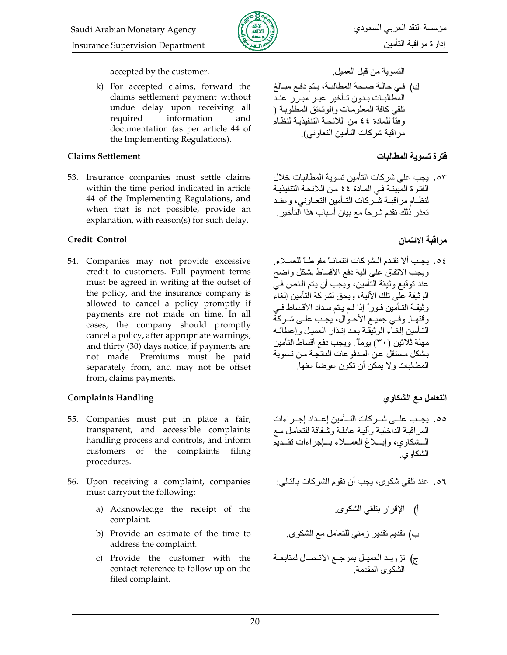

accepted by the customer.

k) For accepted claims, forward the claims settlement payment without undue delay upon receiving all information required and documentation (as per article 44 of the Implementing Regulations).

### **Claims Settlement**

53. Insurance companies must settle claims within the time period indicated in article 44 of the Implementing Regulations, and when that is not possible, provide an explanation, with reason(s) for such delay.

## **Credit Control**

54. Companies may not provide excessive credit to customers. Full payment terms must be agreed in writing at the outset of the policy, and the insurance company is allowed to cancel a policy promptly if payments are not made on time. In all cases, the company should promptly cancel a policy, after appropriate warnings, and thirty (30) days notice, if payments are not made. Premiums must be paid separately from, and may not be offset from, claims payments.

# **Complaints Handling**

- 55. Companies must put in place a fair, transparent, and accessible complaints handling process and controls, and inform customers of the complaints filing procedures.
- 56. Upon receiving a complaint, companies must carryout the following:
	- a) Acknowledge the receipt of the complaint.
	- b) Provide an estimate of the time to address the complaint.
	- c) Provide the customer with the contact reference to follow up on the filed complaint.

التسوية من قبل العميل

ك) في حالة صحة المطالبة، يتم دفع مبالغ المطالبات بدون تـأخير غيـر مبـرر عنـد تلقى كافة المعلومات والوثائق المطلوبة ( وفقاً للمادة ٤٤ من اللائحة التنفيذية لنظام مر اقبة شر كات التأمين التعاو نبي)

# فترة تسوية المطالبات

٥٣. يجب على شركات التأمين تسوية المطالبات خلال الفترة المبينة في المادة ٤٤ من اللائحة التنفيذية لنظـام مراقبــة شـركات التــأمين التعـاوني، وعنـد تعذر ذلكَ تقدم شريحًا مع بيان أسباب هذا التأخير

# مر اقبة الائتمان

٤٥. يجب ألا تقدم الشركات ائتمانــأ مفرطــأ للعمــلاء. ويجب الاتفاق على ألية دفع الأقساط بشكل واضح .<br>عند توقيع وثيقة التأمين، ويجب أن يتم النص في الوثيقة على تلك الألية، ويحق لشركة التأمين إلغاء وثيقة التأمين فوراً إذا لم يتم سداد الأقساط في وقتها وفيي جميع الأحوال، يجب علىي شركة التأمين إلغاء الوثيقة بعد إنذار العميل وإعطائه مهلة ثلاثين (٣٠) يوماً". ويجب دفع أقساط التأمين بشكل مستقل عن المدفوعات الناتجة من تسوية المطالبات و لا يمكن أن تكون عوضاً عنها.

# التعامل مع الشكاوي

- ٥٥. بجب علــ شـركات التــأمين إعـداد إجـراءات المراقبة الداخلية وألية عادلة وشفافة للتعامل مع المشكاوي، وإبسلاغ العمسلاء بساجر إءات تقسديم الشكاو ي
- ٥٦. عند تلقي شكوى، يجب أن تقوم الشركات بالتالي:
	- أ) الإقرار بتلقى الشكوى
	- ب) تقديم تقدير زمني للتعامل مع الشكوي
- ج) تزويـد العميـل بمرجـع الاتـصـال لمتابعــة<br>الشكوى المقدمة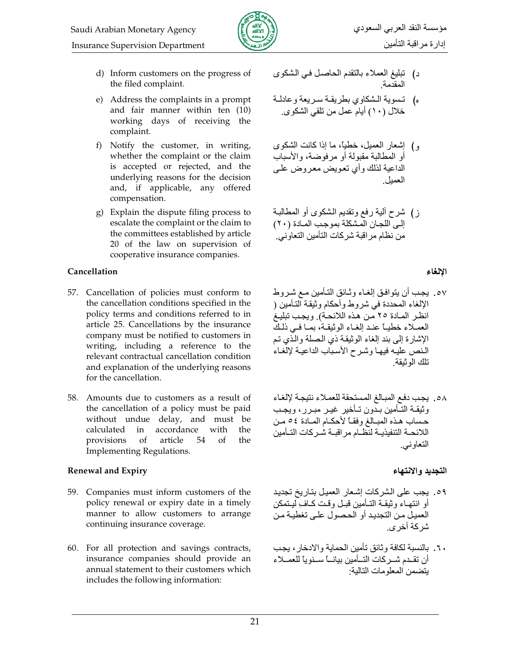

- d) Inform customers on the progress of the filed complaint.
- e) Address the complaints in a prompt and fair manner within ten (10) working days of receiving the complaint.
- f) Notify the customer, in writing, whether the complaint or the claim is accepted or rejected, and the underlying reasons for the decision and, if applicable, any offered compensation.
- g) Explain the dispute filing process to escalate the complaint or the claim to the committees established by article 20 of the law on supervision of cooperative insurance companies.

### Cancellation

- 57. Cancellation of policies must conform to the cancellation conditions specified in the policy terms and conditions referred to in article 25. Cancellations by the insurance company must be notified to customers in writing, including a reference to the relevant contractual cancellation condition and explanation of the underlying reasons for the cancellation.
- 58. Amounts due to customers as a result of the cancellation of a policy must be paid without undue delay, and must be accordance calculated in with the provisions of article 54  $\alpha$ the Implementing Regulations.

# **Renewal and Expiry**

- 59. Companies must inform customers of the policy renewal or expiry date in a timely manner to allow customers to arrange continuing insurance coverage.
- 60. For all protection and savings contracts, insurance companies should provide an annual statement to their customers which includes the following information:
- د) تبليغ العملاء بالنقدم الحاصل في الشكوى المقدمة
- ه) تسوية الشكاوي بطريقة سريعة وعادلة خلال (١٠) أبام عمل من تلقى الشكو ي
- و) إشعار العميل، خطيًا، ما إذا كانت الشكوى أو المطالبة مقبولة أو مر فوضية، والأسباب الداعية لذلك و أي تعويض معر وض عليي العمبل
- ز) شرح ألية رفع وتقديم الشكوى أو المطالبة إلى اللجان المشكلة بموجب المادة (٢٠) من نظام مراقبة شركات التأمين التعاوني.

## الالغاء

- ٥٧. يجب أن يتوافق إلغـاء وثـائق التـأمين مـع شـروط الإلغاء المحددة في شروط وأحكام وثبقة التأمين ( انظر المادة ٢٥ من هذه اللائحة) ويجب نبليغ العملاء خطيبًا عند إلغـاء الوثيقـة، بمـا فـي ذلـكَ الإشارة إلى بند إلغاء الوثيقة ذي الصلة والذي تم النص عليه فيها وشرح الأسباب الداعية لإلغاء نلك الوثبقة
- 0٨. يجب دفع المبالغ المستحقة للعملاء نتيجة لإلغاء وثيقـة التَّأمين بدّون تـأخير غيـر مبـرر، ويجـب حساب هذه المبـالغ وفقــاً لأحكــام المــادة ٥٤ مـن اللائحــة التنفيذيــة لنظــام مر اقبــة شــر كات التــأمين التعاوني.

# التجديد والانتهاء

- 09. يجب على الشركات إشعار العميل بتاريخ تجديد أو انتهـاء و ثبقـة التـأمين قبـل و قـت كـاف ِلبـتمكن العميل من التجديد أو الحصول على تغطية من شركة أخر ي
- ٦٠. بالنسبة لكافة وثائق تأمين الحماية والادخار، يجب أن تقـدم شـركات التــأمين بيانــأ سـنويأ للعمــلاء بتضمن المعلومات التالبة